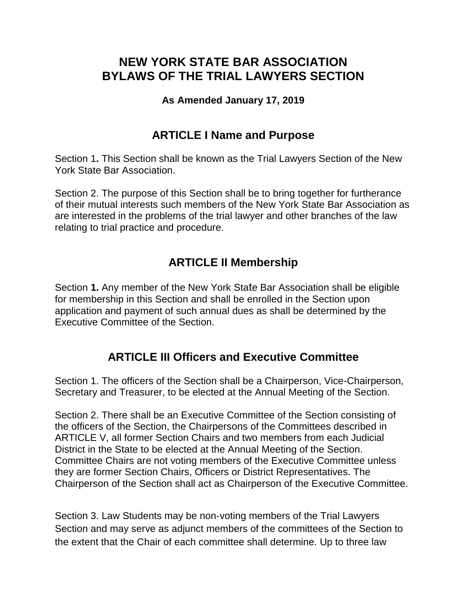# **NEW YORK STATE BAR ASSOCIATION BYLAWS OF THE TRIAL LAWYERS SECTION**

#### **As Amended January 17, 2019**

#### **ARTICLE I Name and Purpose**

Section 1**.** This Section shall be known as the Trial Lawyers Section of the New York State Bar Association.

Section 2. The purpose of this Section shall be to bring together for furtherance of their mutual interests such members of the New York State Bar Association as are interested in the problems of the trial lawyer and other branches of the law relating to trial practice and procedure.

## **ARTICLE II Membership**

Section **1.** Any member of the New York State Bar Association shall be eligible for membership in this Section and shall be enrolled in the Section upon application and payment of such annual dues as shall be determined by the Executive Committee of the Section.

## **ARTICLE III Officers and Executive Committee**

Section 1. The officers of the Section shall be a Chairperson, Vice-Chairperson, Secretary and Treasurer, to be elected at the Annual Meeting of the Section.

Section 2. There shall be an Executive Committee of the Section consisting of the officers of the Section, the Chairpersons of the Committees described in ARTICLE V, all former Section Chairs and two members from each Judicial District in the State to be elected at the Annual Meeting of the Section. Committee Chairs are not voting members of the Executive Committee unless they are former Section Chairs, Officers or District Representatives. The Chairperson of the Section shall act as Chairperson of the Executive Committee.

Section 3. Law Students may be non-voting members of the Trial Lawyers Section and may serve as adjunct members of the committees of the Section to the extent that the Chair of each committee shall determine. Up to three law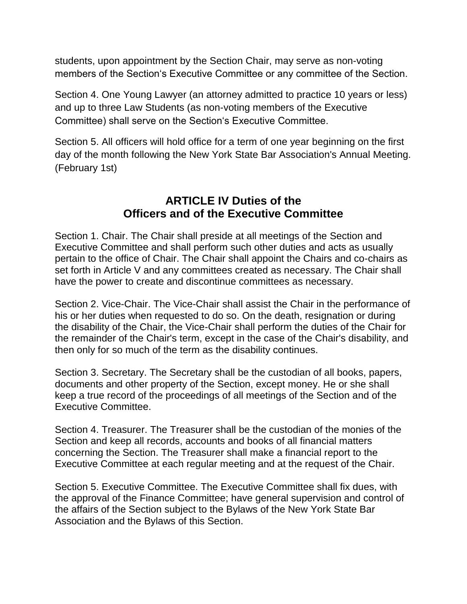students, upon appointment by the Section Chair, may serve as non-voting members of the Section's Executive Committee or any committee of the Section.

Section 4. One Young Lawyer (an attorney admitted to practice 10 years or less) and up to three Law Students (as non-voting members of the Executive Committee) shall serve on the Section's Executive Committee.

Section 5. All officers will hold office for a term of one year beginning on the first day of the month following the New York State Bar Association's Annual Meeting. (February 1st)

## **ARTICLE IV Duties of the Officers and of the Executive Committee**

Section 1. Chair. The Chair shall preside at all meetings of the Section and Executive Committee and shall perform such other duties and acts as usually pertain to the office of Chair. The Chair shall appoint the Chairs and co-chairs as set forth in Article V and any committees created as necessary. The Chair shall have the power to create and discontinue committees as necessary.

Section 2. Vice-Chair. The Vice-Chair shall assist the Chair in the performance of his or her duties when requested to do so. On the death, resignation or during the disability of the Chair, the Vice-Chair shall perform the duties of the Chair for the remainder of the Chair's term, except in the case of the Chair's disability, and then only for so much of the term as the disability continues.

Section 3. Secretary. The Secretary shall be the custodian of all books, papers, documents and other property of the Section, except money. He or she shall keep a true record of the proceedings of all meetings of the Section and of the Executive Committee.

Section 4. Treasurer. The Treasurer shall be the custodian of the monies of the Section and keep all records, accounts and books of all financial matters concerning the Section. The Treasurer shall make a financial report to the Executive Committee at each regular meeting and at the request of the Chair.

Section 5. Executive Committee. The Executive Committee shall fix dues, with the approval of the Finance Committee; have general supervision and control of the affairs of the Section subject to the Bylaws of the New York State Bar Association and the Bylaws of this Section.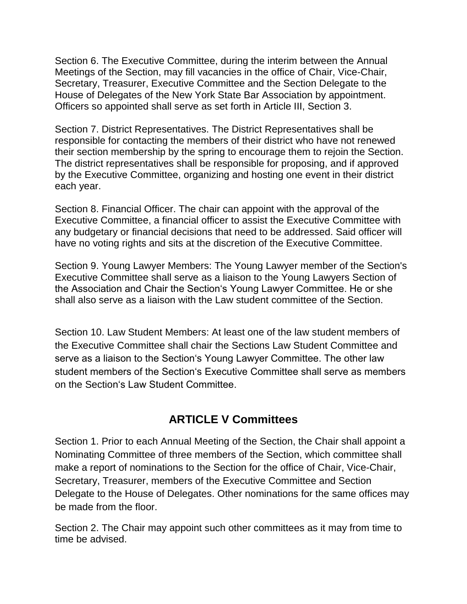Section 6. The Executive Committee, during the interim between the Annual Meetings of the Section, may fill vacancies in the office of Chair, Vice-Chair, Secretary, Treasurer, Executive Committee and the Section Delegate to the House of Delegates of the New York State Bar Association by appointment. Officers so appointed shall serve as set forth in Article III, Section 3.

Section 7. District Representatives. The District Representatives shall be responsible for contacting the members of their district who have not renewed their section membership by the spring to encourage them to rejoin the Section. The district representatives shall be responsible for proposing, and if approved by the Executive Committee, organizing and hosting one event in their district each year.

Section 8. Financial Officer. The chair can appoint with the approval of the Executive Committee, a financial officer to assist the Executive Committee with any budgetary or financial decisions that need to be addressed. Said officer will have no voting rights and sits at the discretion of the Executive Committee.

Section 9. Young Lawyer Members: The Young Lawyer member of the Section's Executive Committee shall serve as a liaison to the Young Lawyers Section of the Association and Chair the Section's Young Lawyer Committee. He or she shall also serve as a liaison with the Law student committee of the Section.

Section 10. Law Student Members: At least one of the law student members of the Executive Committee shall chair the Sections Law Student Committee and serve as a liaison to the Section's Young Lawyer Committee. The other law student members of the Section's Executive Committee shall serve as members on the Section's Law Student Committee.

# **ARTICLE V Committees**

Section 1. Prior to each Annual Meeting of the Section, the Chair shall appoint a Nominating Committee of three members of the Section, which committee shall make a report of nominations to the Section for the office of Chair, Vice-Chair, Secretary, Treasurer, members of the Executive Committee and Section Delegate to the House of Delegates. Other nominations for the same offices may be made from the floor.

Section 2. The Chair may appoint such other committees as it may from time to time be advised.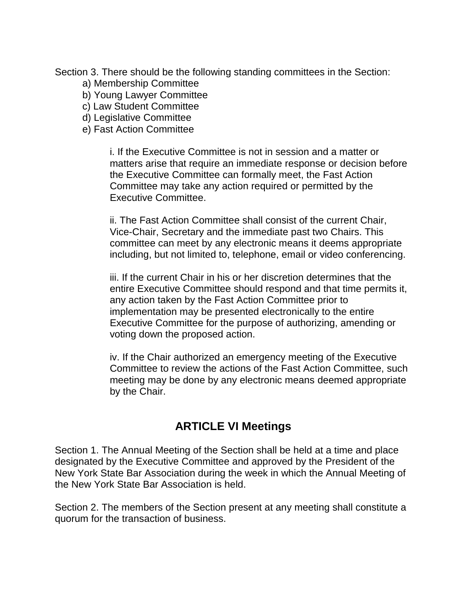Section 3. There should be the following standing committees in the Section:

- a) Membership Committee
- b) Young Lawyer Committee
- c) Law Student Committee
- d) Legislative Committee
- e) Fast Action Committee

i. If the Executive Committee is not in session and a matter or matters arise that require an immediate response or decision before the Executive Committee can formally meet, the Fast Action Committee may take any action required or permitted by the Executive Committee.

ii. The Fast Action Committee shall consist of the current Chair, Vice-Chair, Secretary and the immediate past two Chairs. This committee can meet by any electronic means it deems appropriate including, but not limited to, telephone, email or video conferencing.

iii. If the current Chair in his or her discretion determines that the entire Executive Committee should respond and that time permits it, any action taken by the Fast Action Committee prior to implementation may be presented electronically to the entire Executive Committee for the purpose of authorizing, amending or voting down the proposed action.

iv. If the Chair authorized an emergency meeting of the Executive Committee to review the actions of the Fast Action Committee, such meeting may be done by any electronic means deemed appropriate by the Chair.

#### **ARTICLE VI Meetings**

Section 1. The Annual Meeting of the Section shall be held at a time and place designated by the Executive Committee and approved by the President of the New York State Bar Association during the week in which the Annual Meeting of the New York State Bar Association is held.

Section 2. The members of the Section present at any meeting shall constitute a quorum for the transaction of business.